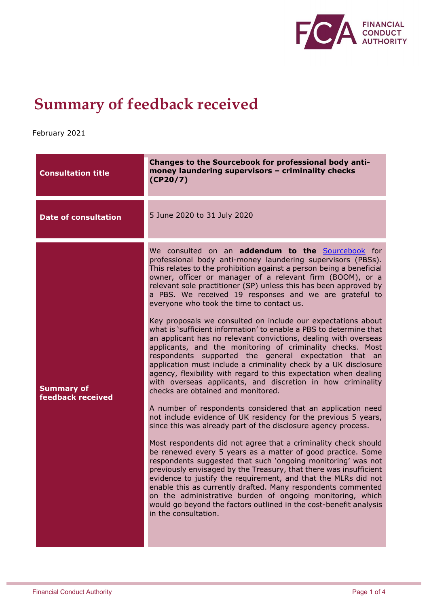

## **Summary of feedback received**

February 2021

| <b>Consultation title</b>              | Changes to the Sourcebook for professional body anti-<br>money laundering supervisors - criminality checks<br>(CP20/7)                                                                                                                                                                                                                                                                                                                                                                                                                                                                                                                                                                                                                                                                                                                                                                                                                                                                                                                                                                                                                                                                                                                                                                                                                                                                                                                                                                                                                                                                                                                                                                                                                                                          |
|----------------------------------------|---------------------------------------------------------------------------------------------------------------------------------------------------------------------------------------------------------------------------------------------------------------------------------------------------------------------------------------------------------------------------------------------------------------------------------------------------------------------------------------------------------------------------------------------------------------------------------------------------------------------------------------------------------------------------------------------------------------------------------------------------------------------------------------------------------------------------------------------------------------------------------------------------------------------------------------------------------------------------------------------------------------------------------------------------------------------------------------------------------------------------------------------------------------------------------------------------------------------------------------------------------------------------------------------------------------------------------------------------------------------------------------------------------------------------------------------------------------------------------------------------------------------------------------------------------------------------------------------------------------------------------------------------------------------------------------------------------------------------------------------------------------------------------|
| <b>Date of consultation</b>            | 5 June 2020 to 31 July 2020                                                                                                                                                                                                                                                                                                                                                                                                                                                                                                                                                                                                                                                                                                                                                                                                                                                                                                                                                                                                                                                                                                                                                                                                                                                                                                                                                                                                                                                                                                                                                                                                                                                                                                                                                     |
| <b>Summary of</b><br>feedback received | We consulted on an addendum to the Sourcebook for<br>professional body anti-money laundering supervisors (PBSs).<br>This relates to the prohibition against a person being a beneficial<br>owner, officer or manager of a relevant firm (BOOM), or a<br>relevant sole practitioner (SP) unless this has been approved by<br>a PBS. We received 19 responses and we are grateful to<br>everyone who took the time to contact us.<br>Key proposals we consulted on include our expectations about<br>what is 'sufficient information' to enable a PBS to determine that<br>an applicant has no relevant convictions, dealing with overseas<br>applicants, and the monitoring of criminality checks. Most<br>respondents supported the general expectation that an<br>application must include a criminality check by a UK disclosure<br>agency, flexibility with regard to this expectation when dealing<br>with overseas applicants, and discretion in how criminality<br>checks are obtained and monitored.<br>A number of respondents considered that an application need<br>not include evidence of UK residency for the previous 5 years,<br>since this was already part of the disclosure agency process.<br>Most respondents did not agree that a criminality check should<br>be renewed every 5 years as a matter of good practice. Some<br>respondents suggested that such 'ongoing monitoring' was not<br>previously envisaged by the Treasury, that there was insufficient<br>evidence to justify the requirement, and that the MLRs did not<br>enable this as currently drafted. Many respondents commented<br>on the administrative burden of ongoing monitoring, which<br>would go beyond the factors outlined in the cost-benefit analysis<br>in the consultation. |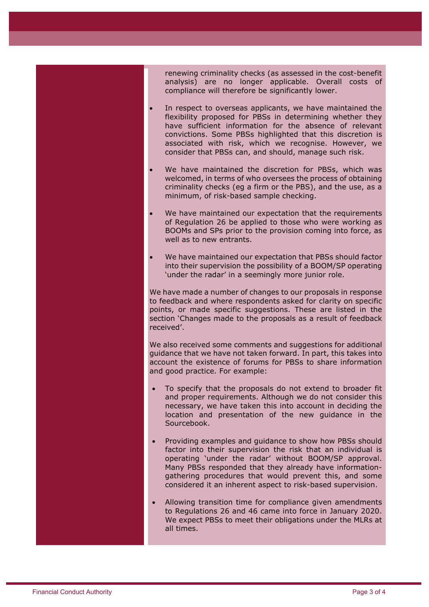renewing criminality checks (as assessed in the cost-benefit analysis) are no longer applicable. Overall costs of compliance will therefore be significantly lower.

- consider that PBSs can, and should, manage such risk. In respect to overseas applicants, we have maintained the flexibility proposed for PBSs in determining whether they have sufficient information for the absence of relevant convictions. Some PBSs highlighted that this discretion is associated with risk, which we recognise. However, we
- We have maintained the discretion for PBSs, which was welcomed, in terms of who oversees the process of obtaining criminality checks (eg a firm or the PBS), and the use, as a minimum, of risk-based sample checking.
- We have maintained our expectation that the requirements of Regulation 26 be applied to those who were working as BOOMs and SPs prior to the provision coming into force, as well as to new entrants.
- We have maintained our expectation that PBSs should factor into their supervision the possibility of a BOOM/SP operating 'under the radar' in a seemingly more junior role.

We have made a number of changes to our proposals in response to feedback and where respondents asked for clarity on specific points, or made specific suggestions. These are listed in the section 'Changes made to the proposals as a result of feedback received'.

We also received some comments and suggestions for additional guidance that we have not taken forward. In part, this takes into account the existence of forums for PBSs to share information and good practice. For example:

- To specify that the proposals do not extend to broader fit and proper requirements. Although we do not consider this necessary, we have taken this into account in deciding the location and presentation of the new guidance in the Sourcebook.
- Providing examples and guidance to show how PBSs should factor into their supervision the risk that an individual is operating 'under the radar' without BOOM/SP approval. Many PBSs responded that they already have informationgathering procedures that would prevent this, and some considered it an inherent aspect to risk-based supervision.
- Allowing transition time for compliance given amendments to Regulations 26 and 46 came into force in January 2020. We expect PBSs to meet their obligations under the MLRs at all times.